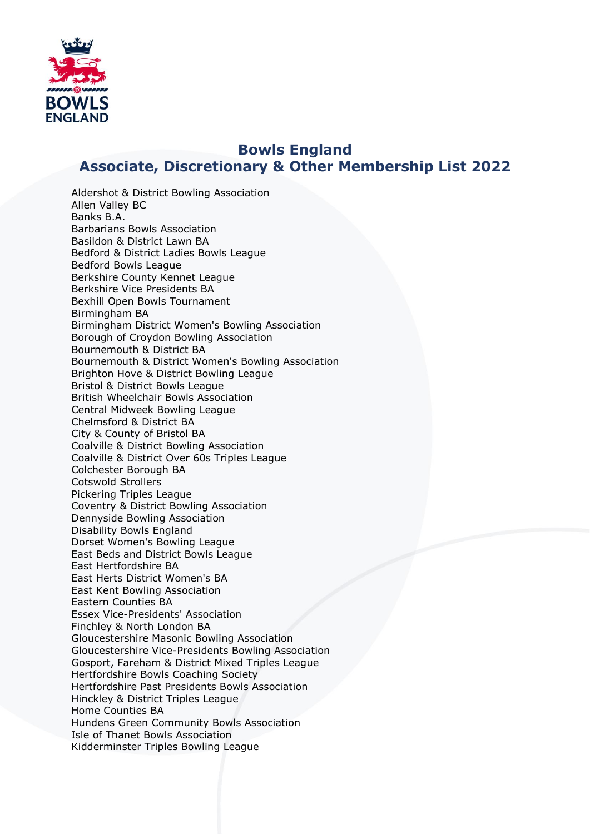

## **Bowls England Associate, Discretionary & Other Membership List 2022**

Aldershot & District Bowling Association Allen Valley BC Banks B.A. Barbarians Bowls Association Basildon & District Lawn BA Bedford & District Ladies Bowls League Bedford Bowls League Berkshire County Kennet League Berkshire Vice Presidents BA Bexhill Open Bowls Tournament Birmingham BA Birmingham District Women's Bowling Association Borough of Croydon Bowling Association Bournemouth & District BA Bournemouth & District Women's Bowling Association Brighton Hove & District Bowling League Bristol & District Bowls League British Wheelchair Bowls Association Central Midweek Bowling League Chelmsford & District BA City & County of Bristol BA Coalville & District Bowling Association Coalville & District Over 60s Triples League Colchester Borough BA Cotswold Strollers Pickering Triples League Coventry & District Bowling Association Dennyside Bowling Association Disability Bowls England Dorset Women's Bowling League East Beds and District Bowls League East Hertfordshire BA East Herts District Women's BA East Kent Bowling Association Eastern Counties BA Essex Vice-Presidents' Association Finchley & North London BA Gloucestershire Masonic Bowling Association Gloucestershire Vice-Presidents Bowling Association Gosport, Fareham & District Mixed Triples League Hertfordshire Bowls Coaching Society Hertfordshire Past Presidents Bowls Association Hinckley & District Triples League Home Counties BA Hundens Green Community Bowls Association Isle of Thanet Bowls Association Kidderminster Triples Bowling League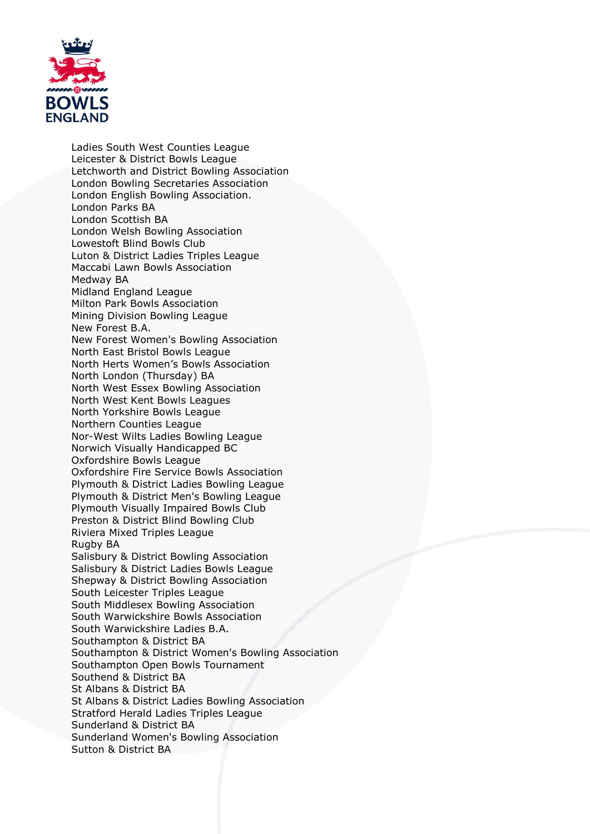

Ladies South West Counties League Leicester & District Bowls League Letchworth and District Bowling Association London Bowling Secretaries Association London English Bowling Association. London Parks BA London Scottish BA London Welsh Bowling Association Lowestoft Blind Bowls Club Luton & District Ladies Triples League Maccabi Lawn Bowls Association Medway BA Midland England League Milton Park Bowls Association Mining Division Bowling League New Forest B.A. New Forest Women's Bowling Association North East Bristol Bowls League North Herts Women's Bowls Association North London (Thursday) BA North West Essex Bowling Association North West Kent Bowls Leagues North Yorkshire Bowls League Northern Counties League Nor-West Wilts Ladies Bowling League Norwich Visually Handicapped BC Oxfordshire Bowls League Oxfordshire Fire Service Bowls Association Plymouth & District Ladies Bowling League Plymouth & District Men's Bowling League Plymouth Visually Impaired Bowls Club Preston & District Blind Bowling Club Riviera Mixed Triples League Rugby BA Salisbury & District Bowling Association Salisbury & District Ladies Bowls League Shepway & District Bowling Association South Leicester Triples League South Middlesex Bowling Association South Warwickshire Bowls Association South Warwickshire Ladies B.A. Southampton & District BA Southampton & District Women's Bowling Association Southampton Open Bowls Tournament Southend & District BA St Albans & District BA St Albans & District Ladies Bowling Association Stratford Herald Ladies Triples League Sunderland & District BA Sunderland Women's Bowling Association Sutton & District BA